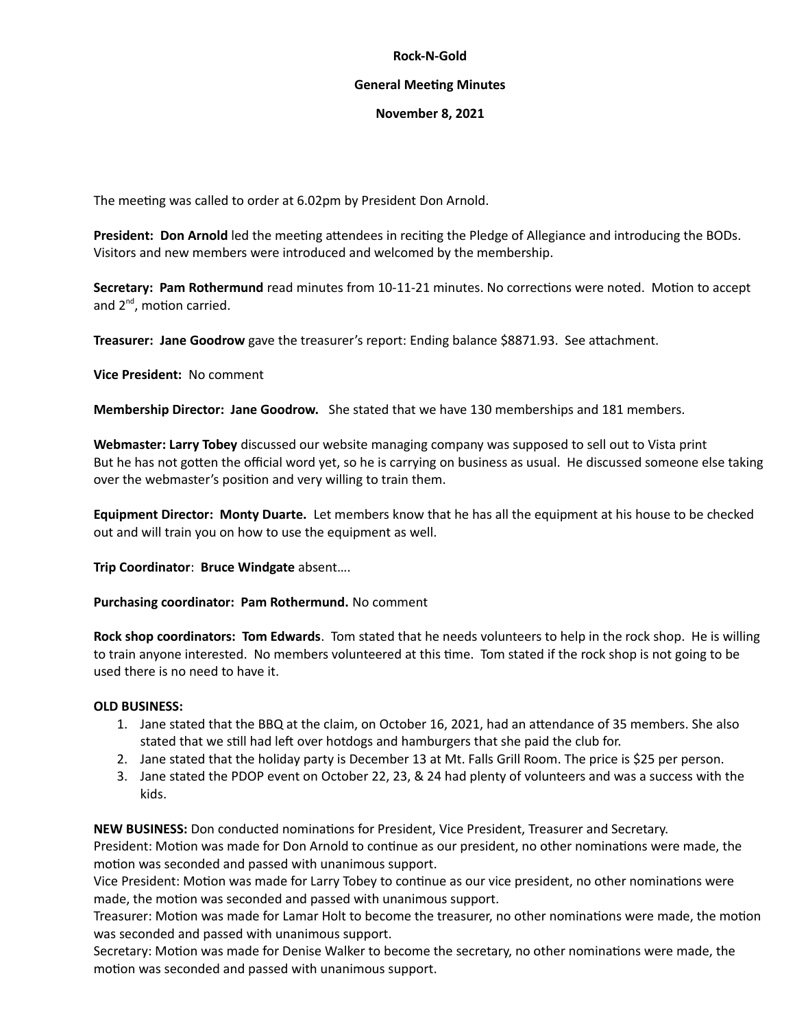## **Rock-N-Gold**

## **General Meeting Minutes**

## **November 8, 2021**

The meeting was called to order at 6.02pm by President Don Arnold.

**President: Don Arnold** led the meeting attendees in reciting the Pledge of Allegiance and introducing the BODs. Visitors and new members were introduced and welcomed by the membership.

**Secretary: Pam Rothermund** read minutes from 10-11-21 minutes. No corrections were noted. Motion to accept and  $2^{nd}$ , motion carried.

**Treasurer: Jane Goodrow** gave the treasurer's report: Ending balance \$8871.93. See attachment.

**Vice President:** No comment

**Membership Director: Jane Goodrow.** She stated that we have 130 memberships and 181 members.

**Webmaster: Larry Tobey** discussed our website managing company was supposed to sell out to Vista print But he has not gotten the official word yet, so he is carrying on business as usual. He discussed someone else taking over the webmaster's position and very willing to train them.

**Equipment Director: Monty Duarte.** Let members know that he has all the equipment at his house to be checked out and will train you on how to use the equipment as well.

**Trip Coordinator**: **Bruce Windgate** absent….

**Purchasing coordinator: Pam Rothermund.** No comment

**Rock shop coordinators: Tom Edwards**. Tom stated that he needs volunteers to help in the rock shop. He is willing to train anyone interested. No members volunteered at this time. Tom stated if the rock shop is not going to be used there is no need to have it.

## **OLD BUSINESS:**

- 1. Jane stated that the BBQ at the claim, on October 16, 2021, had an attendance of 35 members. She also stated that we still had left over hotdogs and hamburgers that she paid the club for.
- 2. Jane stated that the holiday party is December 13 at Mt. Falls Grill Room. The price is \$25 per person.
- 3. Jane stated the PDOP event on October 22, 23, & 24 had plenty of volunteers and was a success with the kids.

**NEW BUSINESS:** Don conducted nominations for President, Vice President, Treasurer and Secretary.

President: Motion was made for Don Arnold to continue as our president, no other nominations were made, the motion was seconded and passed with unanimous support.

Vice President: Motion was made for Larry Tobey to continue as our vice president, no other nominations were made, the motion was seconded and passed with unanimous support.

Treasurer: Motion was made for Lamar Holt to become the treasurer, no other nominations were made, the motion was seconded and passed with unanimous support.

Secretary: Motion was made for Denise Walker to become the secretary, no other nominations were made, the motion was seconded and passed with unanimous support.